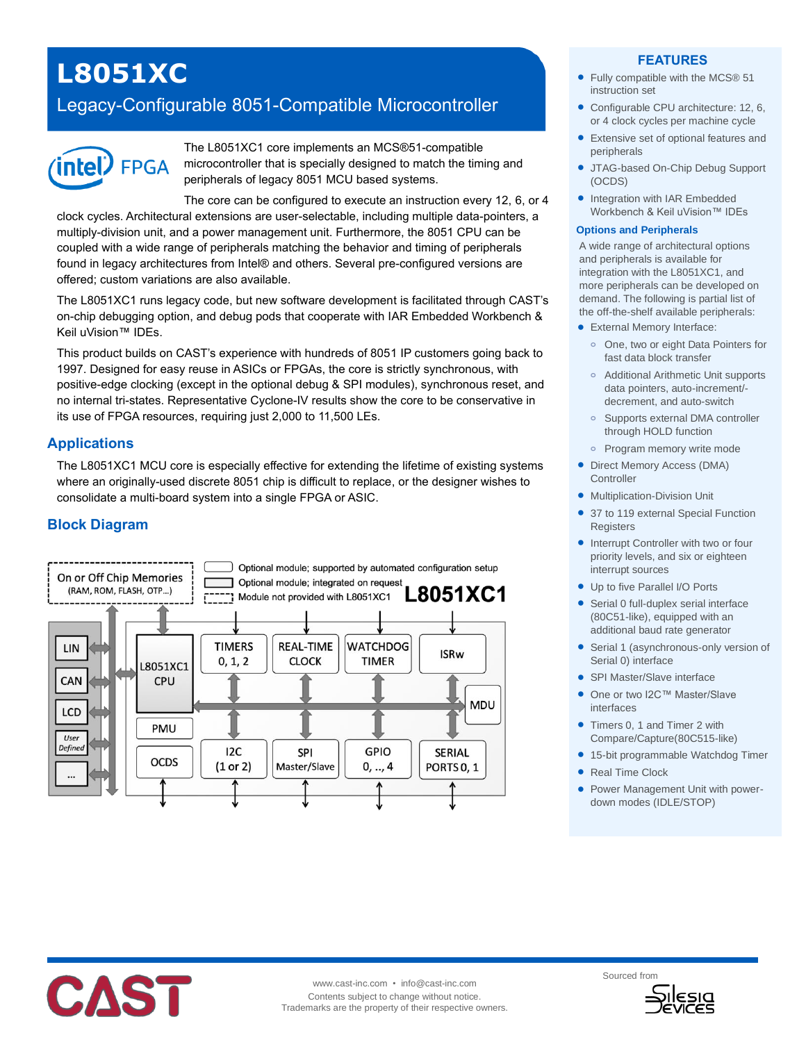# **L8051XC**

# Legacy-Configurable 8051-Compatible Microcontroller



The L8051XC1 core implements an MCS®51-compatible microcontroller that is specially designed to match the timing and peripherals of legacy 8051 MCU based systems.

The core can be configured to execute an instruction every 12, 6, or 4 clock cycles. Architectural extensions are user-selectable, including multiple data-pointers, a multiply-division unit, and a power management unit. Furthermore, the 8051 CPU can be coupled with a wide range of peripherals matching the behavior and timing of peripherals found in legacy architectures from Intel® and others. Several pre-configured versions are offered; custom variations are also available.

The L8051XC1 runs legacy code, but new software development is facilitated through CAST's on-chip debugging option, and debug pods that cooperate with IAR Embedded Workbench & Keil uVision™ IDEs.

This product builds on CAST's experience with hundreds of 8051 IP customers going back to 1997. Designed for easy reuse in ASICs or FPGAs, the core is strictly synchronous, with positive-edge clocking (except in the optional debug & SPI modules), synchronous reset, and no internal tri-states. Representative Cyclone-IV results show the core to be conservative in its use of FPGA resources, requiring just 2,000 to 11,500 LEs.

# **Applications**

The L8051XC1 MCU core is especially effective for extending the lifetime of existing systems where an originally-used discrete 8051 chip is difficult to replace, or the designer wishes to consolidate a multi-board system into a single FPGA or ASIC.

# **Block Diagram**



#### **FEATURES**

- Fully compatible with the MCS® 51 instruction set
- Configurable CPU architecture: 12, 6, or 4 clock cycles per machine cycle
- Extensive set of optional features and peripherals
- JTAG-based On-Chip Debug Support (OCDS)
- Integration with IAR Embedded Workbench & Keil uVision™ IDEs

#### **Options and Peripherals**

A wide range of architectural options and peripherals is available for integration with the L8051XC1, and more peripherals can be developed on demand. The following is partial list of the off-the-shelf available peripherals:

- External Memory Interface:
- **o** One, two or eight Data Pointers for fast data block transfer
- **o** Additional Arithmetic Unit supports data pointers, auto-increment/ decrement, and auto-switch
- **o** Supports external DMA controller through HOLD function
- **o** Program memory write mode
- Direct Memory Access (DMA) **Controller**
- **•** Multiplication-Division Unit
- 37 to 119 external Special Function **Registers**
- Interrupt Controller with two or four priority levels, and six or eighteen interrupt sources
- Up to five Parallel I/O Ports
- Serial 0 full-duplex serial interface (80C51-like), equipped with an additional baud rate generator
- Serial 1 (asynchronous-only version of Serial 0) interface
- SPI Master/Slave interface
- One or two I2C™ Master/Slave interfaces
- Timers 0, 1 and Timer 2 with Compare/Capture(80C515-like)
- 15-bit programmable Watchdog Timer
- Real Time Clock
- Power Management Unit with powerdown modes (IDLE/STOP)